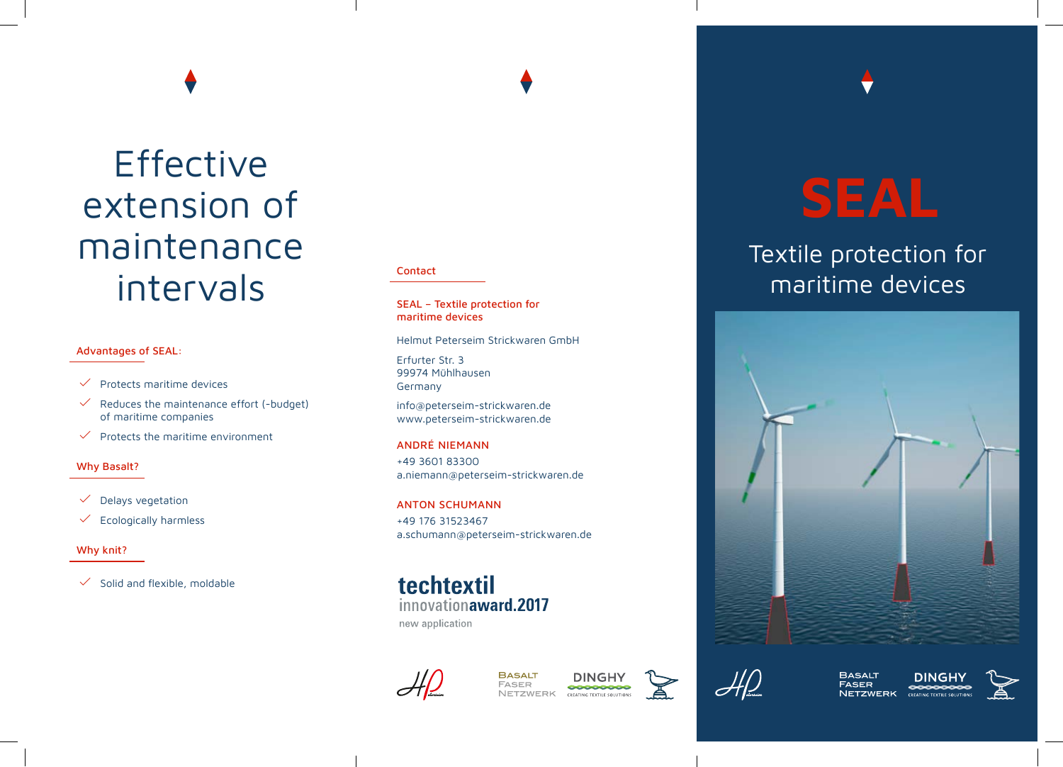## **Effective** extension of maintenance intervals

#### Advantages of SEAL:

- $\checkmark$  Protects maritime devices
- $\checkmark$  Reduces the maintenance effort (-budget) of maritime companies
- $\checkmark$  Protects the maritime environment

#### Why Basalt?

- $\checkmark$  Delays vegetation
- $\checkmark$  Ecologically harmless

#### Why knit?

 $\checkmark$  Solid and flexible, moldable

#### Contact

SEAL – Textile protection for maritime devices

Helmut Peterseim Strickwaren GmbH

Erfurter Str. 3 99974 Mühlhausen Germany

info@peterseim-strickwaren.de www.peterseim-strickwaren.de

ANDRÉ NIEMANN

+49 3601 83300 a.niemann@peterseim-strickwaren.de

ANTON SCHUMANN +49 176 31523467 a.schumann@peterseim-strickwaren.de

techtextil innovationaward.2017 new application



**BASALT FASER** 00000000 **NETZWERK** 



# **SEAL**

### Textile protection for maritime devices





**BASALT FASER NETZWERK**